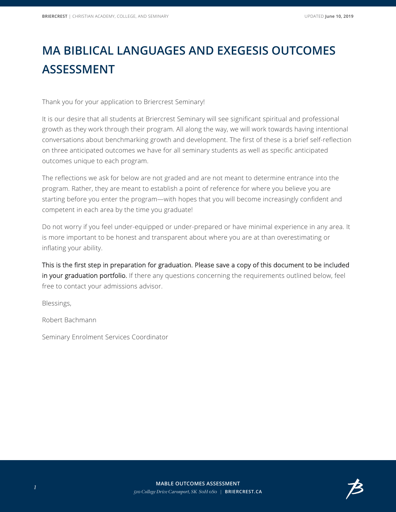## **MA BIBLICAL LANGUAGES AND EXEGESIS OUTCOMES ASSESSMENT**

Thank you for your application to Briercrest Seminary!

It is our desire that all students at Briercrest Seminary will see significant spiritual and professional growth as they work through their program. All along the way, we will work towards having intentional conversations about benchmarking growth and development. The first of these is a brief self-reflection on three anticipated outcomes we have for all seminary students as well as specific anticipated outcomes unique to each program.

The reflections we ask for below are not graded and are not meant to determine entrance into the program. Rather, they are meant to establish a point of reference for where you believe you are starting before you enter the program—with hopes that you will become increasingly confident and competent in each area by the time you graduate!

Do not worry if you feel under-equipped or under-prepared or have minimal experience in any area. It is more important to be honest and transparent about where you are at than overestimating or inflating your ability.

This is the first step in preparation for graduation. Please save a copy of this document to be included in your graduation portfolio. If there any questions concerning the requirements outlined below, feel free to contact your admissions advisor.

Blessings,

Robert Bachmann

Seminary Enrolment Services Coordinator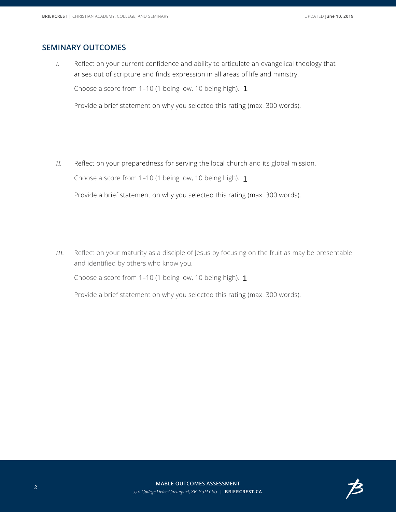## **SEMINARY OUTCOMES**

*I.* Reflect on your current confidence and ability to articulate an evangelical theology that arises out of scripture and finds expression in all areas of life and ministry.

Choose a score from 1-10 (1 being low, 10 being high). 1

Provide a brief statement on why you selected this rating (max. 300 words).

*II.* Reflect on your preparedness for serving the local church and its global mission. Choose a score from 1–10 (1 being low, 10 being high). 1

Provide a brief statement on why you selected this rating (max. 300 words).

*III.* Reflect on your maturity as a disciple of Jesus by focusing on the fruit as may be presentable and identified by others who know you.

Choose a score from 1–10 (1 being low, 10 being high). 1

Provide a brief statement on why you selected this rating (max. 300 words).